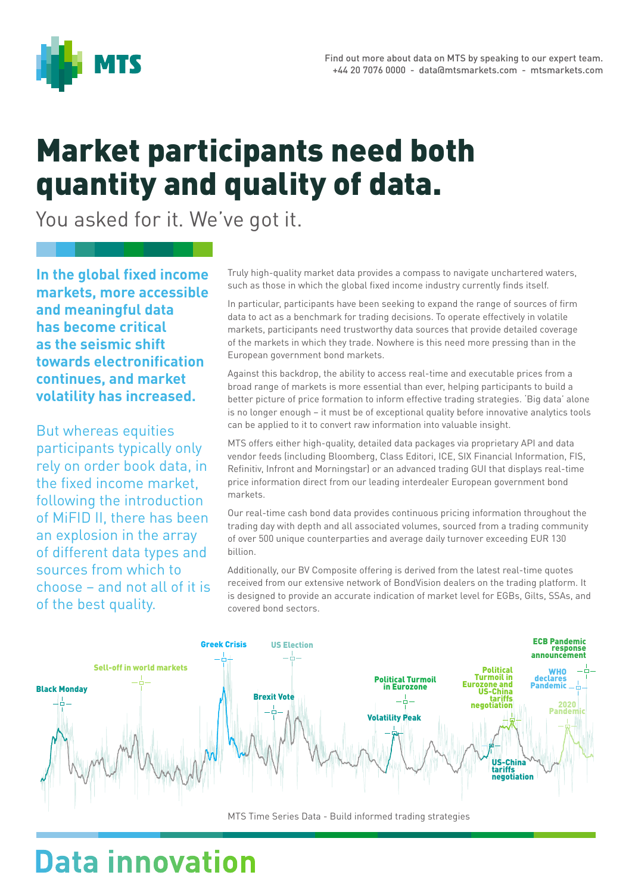

## Market participants need both quantity and quality of data.

You asked for it. We've got it.

**In the global fixed income markets, more accessible and meaningful data has become critical as the seismic shift towards electronification continues, and market volatility has increased.** 

But whereas equities participants typically only rely on order book data, in the fixed income market, following the introduction of MiFID II, there has been an explosion in the array of different data types and sources from which to choose – and not all of it is of the best quality.

Truly high-quality market data provides a compass to navigate unchartered waters, such as those in which the global fixed income industry currently finds itself.

In particular, participants have been seeking to expand the range of sources of firm data to act as a benchmark for trading decisions. To operate effectively in volatile markets, participants need trustworthy data sources that provide detailed coverage of the markets in which they trade. Nowhere is this need more pressing than in the European government bond markets.

Against this backdrop, the ability to access real-time and executable prices from a broad range of markets is more essential than ever, helping participants to build a better picture of price formation to inform effective trading strategies. 'Big data' alone is no longer enough – it must be of exceptional quality before innovative analytics tools can be applied to it to convert raw information into valuable insight.

MTS offers either high-quality, detailed data packages via proprietary API and data vendor feeds (including Bloomberg, Class Editori, ICE, SIX Financial Information, FIS, Refinitiv, Infront and Morningstar) or an advanced trading GUI that displays real-time price information direct from our leading interdealer European government bond markets.

Our real-time cash bond data provides continuous pricing information throughout the trading day with depth and all associated volumes, sourced from a trading community of over 500 unique counterparties and average daily turnover exceeding EUR 130 billion.

Additionally, our BV Composite offering is derived from the latest real-time quotes received from our extensive network of BondVision dealers on the trading platform. It is designed to provide an accurate indication of market level for EGBs, Gilts, SSAs, and covered bond sectors.



MTS Time Series Data - Build informed trading strategies

## **Data innovation**